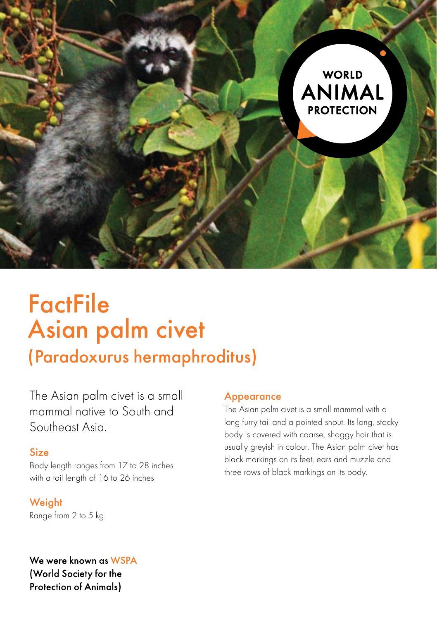

# **FactFile** Asian palm civet

# (Paradoxurus hermaphroditus)

The Asian palm civet is a small mammal native to South and Southeast Asia.

### Size

Body length ranges from 17 to 28 inches with a tail length of 16 to 26 inches

#### **Weight**

Range from 2 to 5 kg

## We were known as WSPA (World Society for the **Protection of Animals)**

#### Appearance

The Asian palm civet is a small mammal with a long furry tail and a pointed snout. Its long, stocky body is covered with coarse, shaggy hair that is usually greyish in colour. The Asian palm civet has black markings on its feet, ears and muzzle and three rows of black markings on its body.